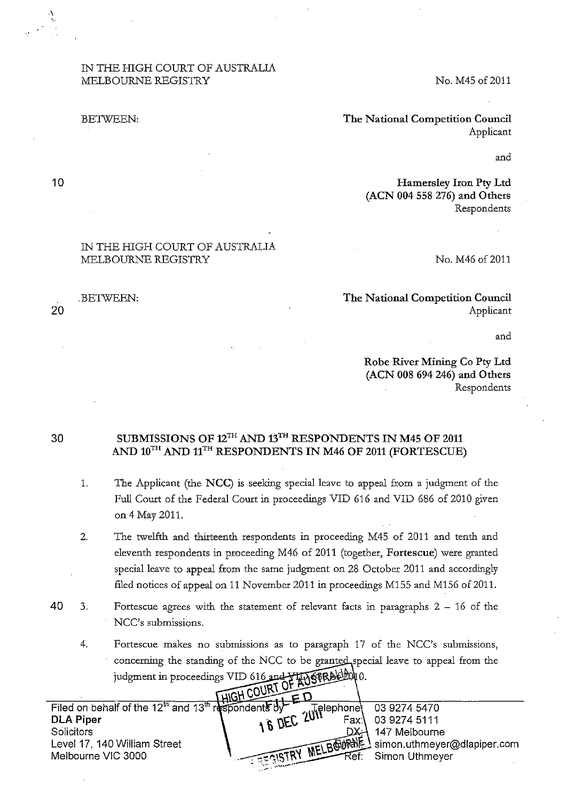## IN THE HIGH COURT OF AUSTRALIA MELBOURNE REGISTRY

#### BETWEEN:

No. M45 of 2011

The National Competition Council Applicant

and

Hamersley Iron Pty Ltd (ACN 004 558 276) and Others Respondents

#### IN THE HIGH COURT OF AUSTRALIA MELBOURNE REGISTRY

#### No. M46 of 2011

### The National Competition Council Applicant

and

Robe River Mining Co Pty Ltd (ACN 008 694 246) and Others Respondents

# SUBMISSIONS OF  $12^{TH}$  AND  $13^{TH}$  RESPONDENTS IN M45 OF 2011 AND  $10^{TH}$  AND  $11^{TH}$  RESPONDENTS IN M46 OF 2011 (FORTESCUE)

- 1. The Applicant (the NCC) is seeking special leave to appeal from a judgment of the Full Court of the Fedetal Court in proceedings VID 616 and VID 686 of 2010 given on 4 May 2011.
- 2. The twelfth and thirteenth respondents in proceeding M45 of 2011 and tenth and eleventh respondents in proceeding M46 of 2011 (together, Fortescue) wete granted special leave to appeal from the same judgment on 28 October 2011 and accordingly filed notices of appeal on 11 November 2011 in proceedings M155 and M156 of 2011.
- 40 3. Fortescue agrees with the statement of relevant facts in paragraphs  $2 16$  of the NCC's submissions.
	- 4. Fortescue makes no submissions as to paragraph 17 of the NCC's submissions, concerning the standing of the NCC to be granted special leave to appeal from the judgment in proceedings VID 616 and FINGERALIONO.

| Filed on behalf of the 12 <sup>th</sup> and 13 <sup>th</sup> respondents by |                      |                       |                                       |
|-----------------------------------------------------------------------------|----------------------|-----------------------|---------------------------------------|
|                                                                             |                      | 16 DEC 201 Pelephone! | 03 9274 5470                          |
| <b>DLA Piper</b>                                                            |                      |                       | 03 9274 5111                          |
| <b>Solicitors</b>                                                           |                      |                       | 147 Melbourne                         |
| Level 17, 140 William Street                                                |                      |                       | MELBOURNE Simon.uthmeyer@dlapiper.com |
| Melbourne VIC 3000                                                          | <b>SEGISTRY</b> MILL | Rer:                  | Simon Uthmeyer                        |
|                                                                             |                      |                       |                                       |

10

BETWEEN: 20

30